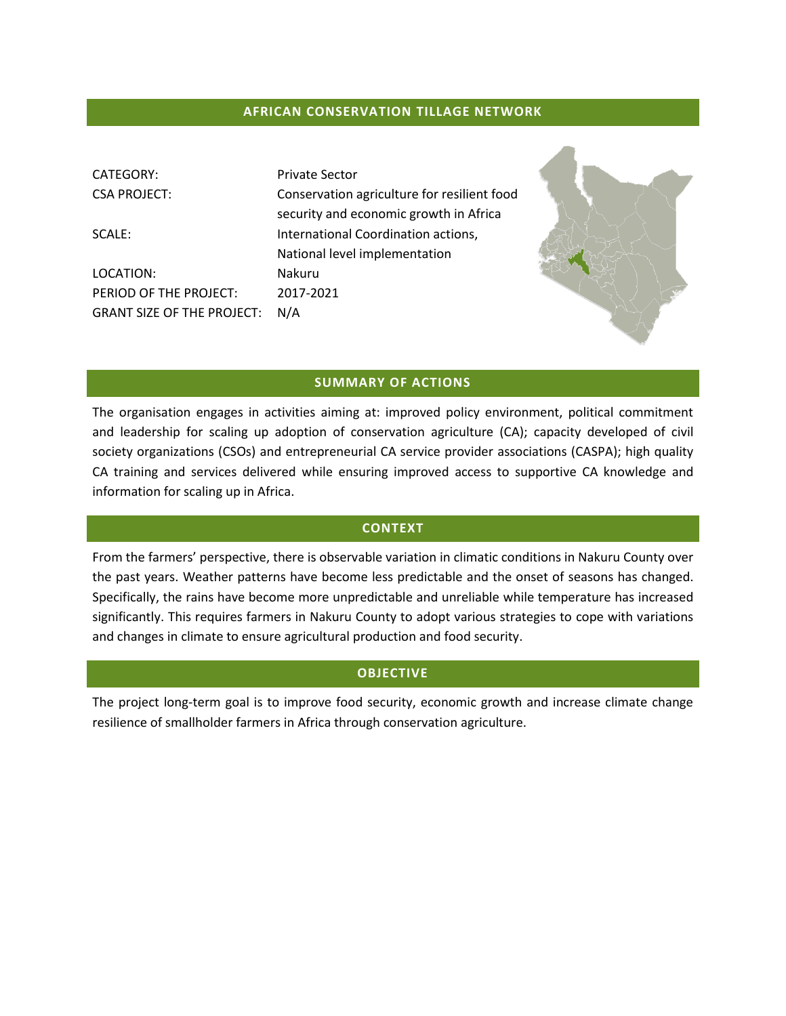#### **AFRICAN CONSERVATION TILLAGE NETWORK**

| CATEGORY:<br><b>CSA PROJECT:</b>  | <b>Private Sector</b><br>Conservation agriculture for resilient food<br>security and economic growth in Africa |  |
|-----------------------------------|----------------------------------------------------------------------------------------------------------------|--|
| SCALE:                            | International Coordination actions,<br>National level implementation                                           |  |
| LOCATION:                         | Nakuru                                                                                                         |  |
| PERIOD OF THE PROJECT:            | 2017-2021                                                                                                      |  |
| <b>GRANT SIZE OF THE PROJECT:</b> | N/A                                                                                                            |  |

### **SUMMARY OF ACTIONS**

The organisation engages in activities aiming at: improved policy environment, political commitment and leadership for scaling up adoption of conservation agriculture (CA); capacity developed of civil society organizations (CSOs) and entrepreneurial CA service provider associations (CASPA); high quality CA training and services delivered while ensuring improved access to supportive CA knowledge and information for scaling up in Africa.

#### **CONTEXT**

From the farmers' perspective, there is observable variation in climatic conditions in Nakuru County over the past years. Weather patterns have become less predictable and the onset of seasons has changed. Specifically, the rains have become more unpredictable and unreliable while temperature has increased significantly. This requires farmers in Nakuru County to adopt various strategies to cope with variations and changes in climate to ensure agricultural production and food security.

# **OBJECTIVE**

The project long-term goal is to improve food security, economic growth and increase climate change resilience of smallholder farmers in Africa through conservation agriculture.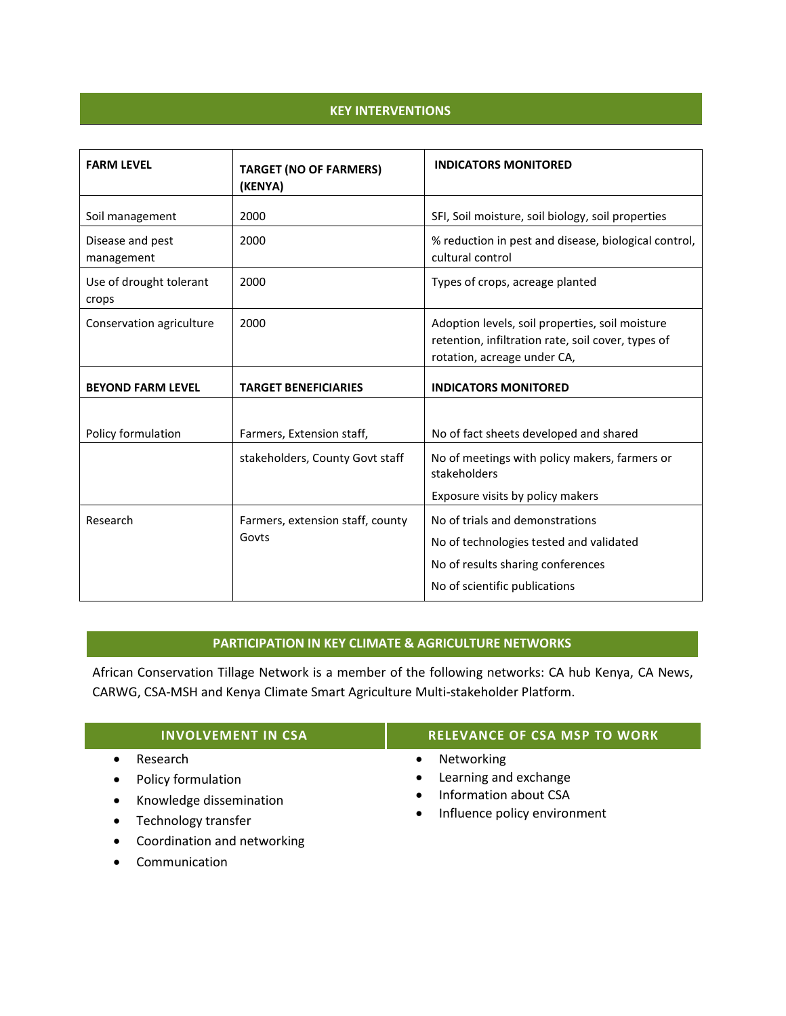# **KEY INTERVENTIONS**

| <b>FARM LEVEL</b>                | <b>TARGET (NO OF FARMERS)</b><br>(KENYA)  | <b>INDICATORS MONITORED</b>                                                                                                                      |
|----------------------------------|-------------------------------------------|--------------------------------------------------------------------------------------------------------------------------------------------------|
| Soil management                  | 2000                                      | SFI, Soil moisture, soil biology, soil properties                                                                                                |
| Disease and pest<br>management   | 2000                                      | % reduction in pest and disease, biological control,<br>cultural control                                                                         |
| Use of drought tolerant<br>crops | 2000                                      | Types of crops, acreage planted                                                                                                                  |
| Conservation agriculture         | 2000                                      | Adoption levels, soil properties, soil moisture<br>retention, infiltration rate, soil cover, types of<br>rotation, acreage under CA,             |
| <b>BEYOND FARM LEVEL</b>         | <b>TARGET BENEFICIARIES</b>               | <b>INDICATORS MONITORED</b>                                                                                                                      |
| Policy formulation               | Farmers, Extension staff,                 | No of fact sheets developed and shared                                                                                                           |
|                                  | stakeholders, County Govt staff           | No of meetings with policy makers, farmers or<br>stakeholders                                                                                    |
|                                  |                                           | Exposure visits by policy makers                                                                                                                 |
| Research                         | Farmers, extension staff, county<br>Govts | No of trials and demonstrations<br>No of technologies tested and validated<br>No of results sharing conferences<br>No of scientific publications |

# **PARTICIPATION IN KEY CLIMATE & AGRICULTURE NETWORKS**

African Conservation Tillage Network is a member of the following networks: CA hub Kenya, CA News, CARWG, CSA-MSH and Kenya Climate Smart Agriculture Multi-stakeholder Platform.

| <b>INVOLVEMENT IN CSA</b>   | <b>RELEVANCE OF CSA MSP TO WORK</b> |
|-----------------------------|-------------------------------------|
| Research                    | Networking                          |
| Policy formulation          | Learning and exchange               |
| Knowledge dissemination     | $\bullet$                           |
| $\bullet$                   | Information about CSA               |
| Technology transfer         | $\bullet$                           |
| Coordination and networking | Influence policy environment        |
| $\bullet$                   | $\bullet$                           |

• Communication